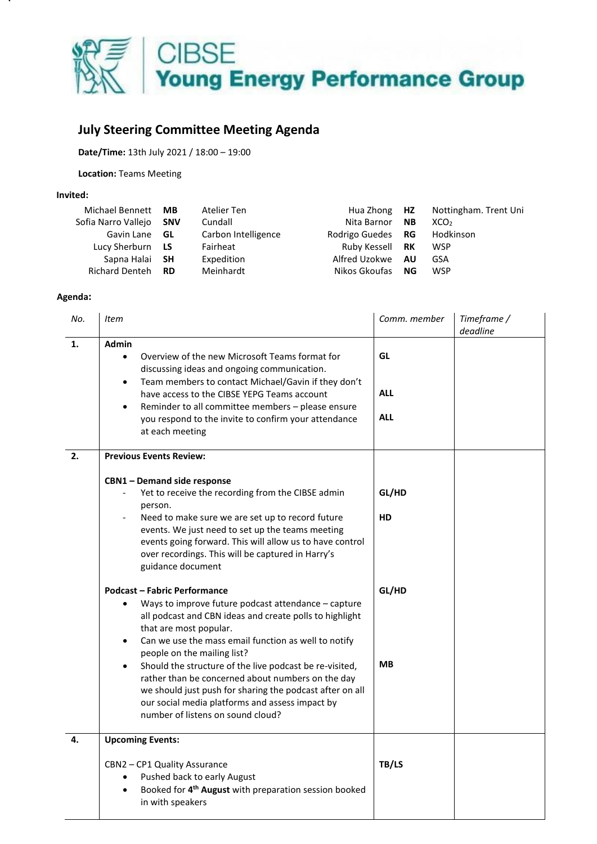

## **July Steering Committee Meeting Agenda**

**Date/Time:** 13th July 2021 / 18:00 – 19:00

**Location:** Teams Meeting

## **Invited:**

| Michael Bennett       | MВ         | Atelier Ten         | Hua Zhong <b>HZ</b> |           | Nottingham. Trent Uni |
|-----------------------|------------|---------------------|---------------------|-----------|-----------------------|
| Sofia Narro Vallejo   | <b>SNV</b> | Cundall             | Nita Barnor         | <b>NB</b> | XCO <sub>2</sub>      |
| Gavin Lane <b>GL</b>  |            | Carbon Intelligence | Rodrigo Guedes      | <b>RG</b> | Hodkinson             |
| Lucy Sherburn         | <b>LS</b>  | Fairheat            | Ruby Kessell        | <b>RK</b> | <b>WSP</b>            |
| Sapna Halai SH        |            | Expedition          | Alfred Uzokwe       | <b>AU</b> | GSA                   |
| <b>Richard Denteh</b> | <b>RD</b>  | Meinhardt           | Nikos Gkoufas       | NG.       | <b>WSP</b>            |

## **Agenda:**

| No. | <b>Item</b>                                                                                                                                                                                                                                                                                                                                                                                                                                                                                                                                                          | Comm. member                   | Timeframe /<br>deadline |
|-----|----------------------------------------------------------------------------------------------------------------------------------------------------------------------------------------------------------------------------------------------------------------------------------------------------------------------------------------------------------------------------------------------------------------------------------------------------------------------------------------------------------------------------------------------------------------------|--------------------------------|-------------------------|
| 1.  | <b>Admin</b><br>Overview of the new Microsoft Teams format for<br>$\bullet$<br>discussing ideas and ongoing communication.<br>Team members to contact Michael/Gavin if they don't<br>$\bullet$<br>have access to the CIBSE YEPG Teams account<br>Reminder to all committee members - please ensure<br>you respond to the invite to confirm your attendance<br>at each meeting                                                                                                                                                                                        | GL<br><b>ALL</b><br><b>ALL</b> |                         |
| 2.  | <b>Previous Events Review:</b><br><b>CBN1-Demand side response</b><br>Yet to receive the recording from the CIBSE admin<br>person.<br>Need to make sure we are set up to record future<br>events. We just need to set up the teams meeting<br>events going forward. This will allow us to have control<br>over recordings. This will be captured in Harry's<br>guidance document                                                                                                                                                                                     | GL/HD<br>HD                    |                         |
|     | <b>Podcast - Fabric Performance</b><br>Ways to improve future podcast attendance - capture<br>all podcast and CBN ideas and create polls to highlight<br>that are most popular.<br>Can we use the mass email function as well to notify<br>$\bullet$<br>people on the mailing list?<br>Should the structure of the live podcast be re-visited,<br>$\bullet$<br>rather than be concerned about numbers on the day<br>we should just push for sharing the podcast after on all<br>our social media platforms and assess impact by<br>number of listens on sound cloud? | GL/HD<br><b>MB</b>             |                         |
| 4.  | <b>Upcoming Events:</b><br>CBN2 - CP1 Quality Assurance<br>Pushed back to early August<br>Booked for 4 <sup>th</sup> August with preparation session booked<br>$\bullet$<br>in with speakers                                                                                                                                                                                                                                                                                                                                                                         | TB/LS                          |                         |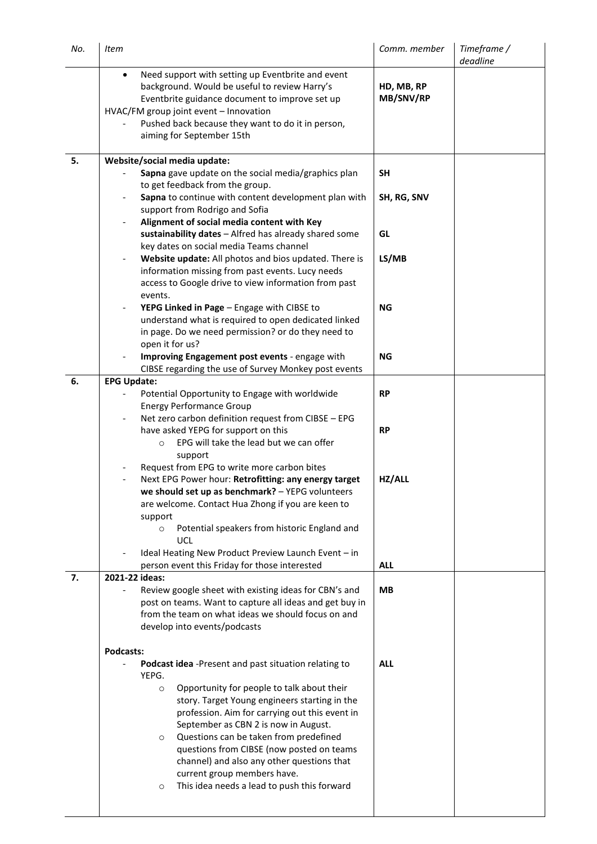| No. | <b>Item</b>                                                                                                                                                                                                                                                                                   | Comm. member            | Timeframe /<br>deadline |
|-----|-----------------------------------------------------------------------------------------------------------------------------------------------------------------------------------------------------------------------------------------------------------------------------------------------|-------------------------|-------------------------|
|     | Need support with setting up Eventbrite and event<br>$\bullet$<br>background. Would be useful to review Harry's<br>Eventbrite guidance document to improve set up<br>HVAC/FM group joint event - Innovation<br>Pushed back because they want to do it in person,<br>aiming for September 15th | HD, MB, RP<br>MB/SNV/RP |                         |
| 5.  | Website/social media update:                                                                                                                                                                                                                                                                  |                         |                         |
|     | Sapna gave update on the social media/graphics plan<br>to get feedback from the group.                                                                                                                                                                                                        | <b>SH</b>               |                         |
|     | Sapna to continue with content development plan with                                                                                                                                                                                                                                          | SH, RG, SNV             |                         |
|     | support from Rodrigo and Sofia<br>Alignment of social media content with Key                                                                                                                                                                                                                  |                         |                         |
|     | sustainability dates - Alfred has already shared some                                                                                                                                                                                                                                         | GL                      |                         |
|     | key dates on social media Teams channel<br>Website update: All photos and bios updated. There is                                                                                                                                                                                              | LS/MB                   |                         |
|     | information missing from past events. Lucy needs                                                                                                                                                                                                                                              |                         |                         |
|     | access to Google drive to view information from past<br>events.                                                                                                                                                                                                                               |                         |                         |
|     | YEPG Linked in Page - Engage with CIBSE to<br>$\overline{\phantom{0}}$                                                                                                                                                                                                                        | <b>NG</b>               |                         |
|     | understand what is required to open dedicated linked<br>in page. Do we need permission? or do they need to                                                                                                                                                                                    |                         |                         |
|     | open it for us?                                                                                                                                                                                                                                                                               |                         |                         |
|     | Improving Engagement post events - engage with<br>CIBSE regarding the use of Survey Monkey post events                                                                                                                                                                                        | <b>NG</b>               |                         |
| 6.  | <b>EPG Update:</b>                                                                                                                                                                                                                                                                            |                         |                         |
|     | Potential Opportunity to Engage with worldwide<br><b>Energy Performance Group</b>                                                                                                                                                                                                             | <b>RP</b>               |                         |
|     | Net zero carbon definition request from CIBSE - EPG                                                                                                                                                                                                                                           |                         |                         |
|     | have asked YEPG for support on this                                                                                                                                                                                                                                                           | <b>RP</b>               |                         |
|     | EPG will take the lead but we can offer<br>$\circ$<br>support                                                                                                                                                                                                                                 |                         |                         |
|     | Request from EPG to write more carbon bites                                                                                                                                                                                                                                                   |                         |                         |
|     | Next EPG Power hour: Retrofitting: any energy target<br>we should set up as benchmark? - YEPG volunteers                                                                                                                                                                                      | HZ/ALL                  |                         |
|     | are welcome. Contact Hua Zhong if you are keen to                                                                                                                                                                                                                                             |                         |                         |
|     | support                                                                                                                                                                                                                                                                                       |                         |                         |
|     | Potential speakers from historic England and<br>$\circ$<br>UCL                                                                                                                                                                                                                                |                         |                         |
|     | Ideal Heating New Product Preview Launch Event - in                                                                                                                                                                                                                                           |                         |                         |
| 7.  | person event this Friday for those interested<br>2021-22 ideas:                                                                                                                                                                                                                               | <b>ALL</b>              |                         |
|     | Review google sheet with existing ideas for CBN's and                                                                                                                                                                                                                                         | <b>MB</b>               |                         |
|     | post on teams. Want to capture all ideas and get buy in                                                                                                                                                                                                                                       |                         |                         |
|     | from the team on what ideas we should focus on and                                                                                                                                                                                                                                            |                         |                         |
|     | develop into events/podcasts                                                                                                                                                                                                                                                                  |                         |                         |
|     | Podcasts:                                                                                                                                                                                                                                                                                     |                         |                         |
|     | Podcast idea -Present and past situation relating to<br>YEPG.                                                                                                                                                                                                                                 | <b>ALL</b>              |                         |
|     | Opportunity for people to talk about their<br>$\circ$                                                                                                                                                                                                                                         |                         |                         |
|     | story. Target Young engineers starting in the                                                                                                                                                                                                                                                 |                         |                         |
|     | profession. Aim for carrying out this event in                                                                                                                                                                                                                                                |                         |                         |
|     | September as CBN 2 is now in August.<br>Questions can be taken from predefined<br>$\circ$                                                                                                                                                                                                     |                         |                         |
|     | questions from CIBSE (now posted on teams                                                                                                                                                                                                                                                     |                         |                         |
|     | channel) and also any other questions that                                                                                                                                                                                                                                                    |                         |                         |
|     | current group members have.                                                                                                                                                                                                                                                                   |                         |                         |
|     | This idea needs a lead to push this forward<br>$\circ$                                                                                                                                                                                                                                        |                         |                         |
|     |                                                                                                                                                                                                                                                                                               |                         |                         |